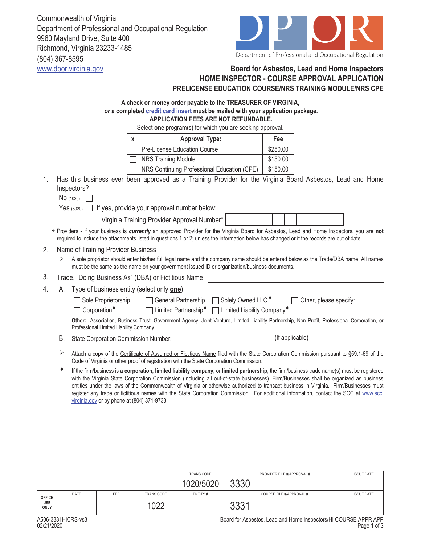Commonwealth of Virginia Department of Professional and Occupational Regulation 9960 Mayland Drive, Suite 400 Richmond, Virginia 23233-1485 (804) 367-8595



## www.dpor.virginia.gov **Board for Asbestos, Lead and Home Inspectors HOME INSPECTOR - COURSE APPROVAL APPLICATION PRELICENSE EDUCATION COURSE/NRS TRAINING MODULE/NRS CPE**

| A check or money order payable to the <b>TREASURER OF VIRGINIA</b> ,            |  |  |  |  |  |
|---------------------------------------------------------------------------------|--|--|--|--|--|
| or a completed credit card insert must be mailed with your application package. |  |  |  |  |  |
| APPLICATION FEES ARE NOT REFUNDABLE.                                            |  |  |  |  |  |
|                                                                                 |  |  |  |  |  |

Select **one** program(s) for which you are seeking approval.

|          | <b>Approval Type:</b><br>$\mathbf{x}$                                                                                                                                                                                            |                                                                                                                                                                                                                                                                                            | Fee |                 |                        |  |  |
|----------|----------------------------------------------------------------------------------------------------------------------------------------------------------------------------------------------------------------------------------|--------------------------------------------------------------------------------------------------------------------------------------------------------------------------------------------------------------------------------------------------------------------------------------------|-----|-----------------|------------------------|--|--|
|          |                                                                                                                                                                                                                                  | <b>Pre-License Education Course</b>                                                                                                                                                                                                                                                        |     |                 |                        |  |  |
|          |                                                                                                                                                                                                                                  | <b>NRS Training Module</b>                                                                                                                                                                                                                                                                 |     | \$150.00        |                        |  |  |
|          |                                                                                                                                                                                                                                  | NRS Continuing Professional Education (CPE)                                                                                                                                                                                                                                                |     | \$150.00        |                        |  |  |
| 1.       | Has this business ever been approved as a Training Provider for the Virginia Board Asbestos, Lead and Home<br>Inspectors?                                                                                                        |                                                                                                                                                                                                                                                                                            |     |                 |                        |  |  |
|          | <b>No</b> (1020)                                                                                                                                                                                                                 |                                                                                                                                                                                                                                                                                            |     |                 |                        |  |  |
|          |                                                                                                                                                                                                                                  | Yes $(5020)$ If yes, provide your approval number below:                                                                                                                                                                                                                                   |     |                 |                        |  |  |
|          |                                                                                                                                                                                                                                  | Virginia Training Provider Approval Number*                                                                                                                                                                                                                                                |     |                 |                        |  |  |
|          |                                                                                                                                                                                                                                  | * Providers - if your business is currently an approved Provider for the Virginia Board for Asbestos, Lead and Home Inspectors, you are not<br>required to include the attachments listed in questions 1 or 2; unless the information below has changed or if the records are out of date. |     |                 |                        |  |  |
| 2.       | Name of Training Provider Business                                                                                                                                                                                               |                                                                                                                                                                                                                                                                                            |     |                 |                        |  |  |
| ⋗        |                                                                                                                                                                                                                                  | A sole proprietor should enter his/her full legal name and the company name should be entered below as the Trade/DBA name. All names<br>must be the same as the name on your government issued ID or organization/business documents.                                                      |     |                 |                        |  |  |
| 3.       |                                                                                                                                                                                                                                  | Trade, "Doing Business As" (DBA) or Fictitious Name                                                                                                                                                                                                                                        |     |                 |                        |  |  |
| 4.<br>А. | Type of business entity (select only one)                                                                                                                                                                                        |                                                                                                                                                                                                                                                                                            |     |                 |                        |  |  |
|          | Sole Proprietorship                                                                                                                                                                                                              | □ General Partnership □ Solely Owned LLC <sup>+</sup>                                                                                                                                                                                                                                      |     |                 | Other, please specify: |  |  |
|          | Corporation <sup>*</sup><br>□ Limited Partnership <sup>+</sup> □ Limited Liability Company <sup>+</sup>                                                                                                                          |                                                                                                                                                                                                                                                                                            |     |                 |                        |  |  |
|          | Professional Limited Liability Company                                                                                                                                                                                           | Other: Association, Business Trust, Government Agency, Joint Venture, Limited Liability Partnership, Non Profit, Professional Corporation, or                                                                                                                                              |     |                 |                        |  |  |
| В.       |                                                                                                                                                                                                                                  | State Corporation Commission Number:                                                                                                                                                                                                                                                       |     | (If applicable) |                        |  |  |
| ⋗        | Attach a copy of the Certificate of Assumed or Fictitious Name filed with the State Corporation Commission pursuant to §59.1-69 of the<br>Code of Virginia or other proof of registration with the State Corporation Commission. |                                                                                                                                                                                                                                                                                            |     |                 |                        |  |  |
|          |                                                                                                                                                                                                                                  |                                                                                                                                                                                                                                                                                            |     |                 |                        |  |  |

Ƈ If the firm/business is a **corporation, limited liability company,** or **limited partnership**, the firm/business trade name(s) must be registered with the Virginia State Corporation Commission (including all out-of-state businesses). Firm/Businesses shall be organized as business entities under the laws of the Commonwealth of Virginia or otherwise authorized to transact business in Virginia. Firm/Businesses must register any trade or fictitious names with the State Corporation Commission. For additional information, contact the SCC at www.scc. virginia.gov or by phone at (804) 371-9733.

|                           |             |            |                                       | TRANS CODE |               | PROVIDER FILE #/APPROVAL # | <b>ISSUE DATE</b> |
|---------------------------|-------------|------------|---------------------------------------|------------|---------------|----------------------------|-------------------|
|                           |             |            |                                       | 020/5020   | າວາດ<br>טטט   |                            |                   |
| <b>OFFICE</b>             | <b>DATE</b> | <b>FEE</b> | <b>TRANS CODE</b>                     | ENTITY#    |               | COURSE FILE #/APPROVAL #   | <b>ISSUE DATE</b> |
| <b>USE</b><br><b>ONLY</b> |             |            | 100 <sup>o</sup><br>$U_{\mathcal{L}}$ |            | ດດດ4<br>ັບບ∪⊣ |                            |                   |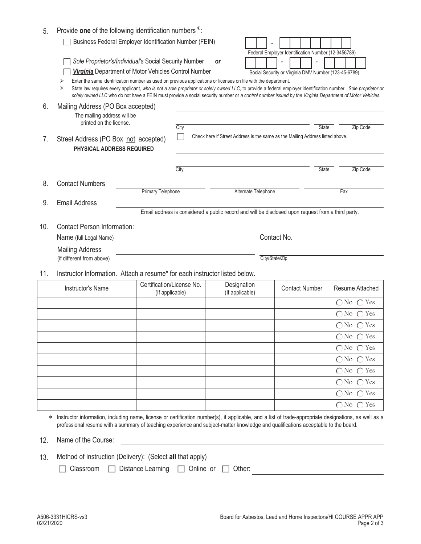| 5.  | Provide one of the following identification numbers $*$ :                                                                                                                                                                                                                                   |                                              |                     |                                                                                                                             |                                                                                                                                                                                                                                                                                                                         |                               |  |
|-----|---------------------------------------------------------------------------------------------------------------------------------------------------------------------------------------------------------------------------------------------------------------------------------------------|----------------------------------------------|---------------------|-----------------------------------------------------------------------------------------------------------------------------|-------------------------------------------------------------------------------------------------------------------------------------------------------------------------------------------------------------------------------------------------------------------------------------------------------------------------|-------------------------------|--|
|     | Business Federal Employer Identification Number (FEIN)                                                                                                                                                                                                                                      |                                              |                     |                                                                                                                             | Federal Employer Identification Number (12-3456789)                                                                                                                                                                                                                                                                     |                               |  |
|     | Sole Proprietor's/Individual's Social Security Number<br>Virginia Department of Motor Vehicles Control Number<br>⋗                                                                                                                                                                          |                                              |                     | <b>or</b><br>Enter the same identification number as used on previous applications or licenses on file with the department. | Social Security or Virginia DMV Number (123-45-6789)                                                                                                                                                                                                                                                                    |                               |  |
|     | ⋇                                                                                                                                                                                                                                                                                           |                                              |                     |                                                                                                                             | State law requires every applicant, who is not a sole proprietor or solely owned LLC, to provide a federal employer identification number. Sole proprietor or<br>solely owned LLC who do not have a FEIN must provide a social security number or a control number issued by the Virginia Department of Motor Vehicles. |                               |  |
| 6.  | Mailing Address (PO Box accepted)<br>The mailing address will be<br>printed on the license.                                                                                                                                                                                                 |                                              |                     |                                                                                                                             | <b>State</b>                                                                                                                                                                                                                                                                                                            |                               |  |
| 7.  | Street Address (PO Box not accepted)<br>PHYSICAL ADDRESS REQUIRED                                                                                                                                                                                                                           |                                              | City                |                                                                                                                             | Check here if Street Address is the same as the Mailing Address listed above.                                                                                                                                                                                                                                           | Zip Code                      |  |
|     |                                                                                                                                                                                                                                                                                             |                                              | City                |                                                                                                                             | State                                                                                                                                                                                                                                                                                                                   | Zip Code                      |  |
| 8.  | <b>Contact Numbers</b>                                                                                                                                                                                                                                                                      | <b>Primary Telephone</b>                     |                     | Alternate Telephone                                                                                                         |                                                                                                                                                                                                                                                                                                                         | Fax                           |  |
| 9.  | <b>Email Address</b>                                                                                                                                                                                                                                                                        |                                              |                     |                                                                                                                             |                                                                                                                                                                                                                                                                                                                         |                               |  |
| 10. | Email address is considered a public record and will be disclosed upon request from a third party.<br><b>Contact Person Information:</b><br>Contact No.<br>Name (full Legal Name)<br><u> 1989 - Johann Barbara, martxa alemaniar a</u>                                                      |                                              |                     |                                                                                                                             |                                                                                                                                                                                                                                                                                                                         |                               |  |
|     | <b>Mailing Address</b><br>(if different from above)                                                                                                                                                                                                                                         |                                              |                     |                                                                                                                             | City/State/Zip                                                                                                                                                                                                                                                                                                          |                               |  |
| 11. | Instructor Information. Attach a resume* for each instructor listed below.                                                                                                                                                                                                                  |                                              |                     |                                                                                                                             |                                                                                                                                                                                                                                                                                                                         |                               |  |
|     | Instructor's Name                                                                                                                                                                                                                                                                           | Certification/License No.<br>(If applicable) |                     | Designation<br>(If applicable)                                                                                              | <b>Contact Number</b>                                                                                                                                                                                                                                                                                                   | Resume Attached               |  |
|     |                                                                                                                                                                                                                                                                                             |                                              |                     |                                                                                                                             |                                                                                                                                                                                                                                                                                                                         | $\bigcap$ No $\bigcap$ Yes    |  |
|     |                                                                                                                                                                                                                                                                                             |                                              |                     |                                                                                                                             |                                                                                                                                                                                                                                                                                                                         | $\bigcap$ No $\bigcap$<br>Yes |  |
|     |                                                                                                                                                                                                                                                                                             |                                              |                     |                                                                                                                             |                                                                                                                                                                                                                                                                                                                         | $\bigcap$ No $\bigcap$ Yes    |  |
|     |                                                                                                                                                                                                                                                                                             |                                              |                     |                                                                                                                             |                                                                                                                                                                                                                                                                                                                         | $\bigcirc$ No $\bigcirc$ Yes  |  |
|     |                                                                                                                                                                                                                                                                                             |                                              |                     |                                                                                                                             |                                                                                                                                                                                                                                                                                                                         | $\bigcap$ No $\bigcap$ Yes    |  |
|     |                                                                                                                                                                                                                                                                                             |                                              |                     |                                                                                                                             |                                                                                                                                                                                                                                                                                                                         | $\bigcap$ No $\bigcap$ Yes    |  |
|     |                                                                                                                                                                                                                                                                                             |                                              |                     |                                                                                                                             |                                                                                                                                                                                                                                                                                                                         | $\bigcap$ No $\bigcap$ Yes    |  |
|     |                                                                                                                                                                                                                                                                                             |                                              |                     |                                                                                                                             |                                                                                                                                                                                                                                                                                                                         | $\bigcap$ No $\bigcap$ Yes    |  |
|     |                                                                                                                                                                                                                                                                                             |                                              |                     |                                                                                                                             |                                                                                                                                                                                                                                                                                                                         | $\bigcap$ No $\bigcap$ Yes    |  |
|     |                                                                                                                                                                                                                                                                                             |                                              |                     |                                                                                                                             |                                                                                                                                                                                                                                                                                                                         | $\bigcap$ No $\bigcap$ Yes    |  |
|     | Instructor information, including name, license or certification number(s), if applicable, and a list of trade-appropriate designations, as well as a<br>professional resume with a summary of teaching experience and subject-matter knowledge and qualifications acceptable to the board. |                                              |                     |                                                                                                                             |                                                                                                                                                                                                                                                                                                                         |                               |  |
| 12. | Name of the Course:                                                                                                                                                                                                                                                                         |                                              |                     |                                                                                                                             |                                                                                                                                                                                                                                                                                                                         |                               |  |
| 13. | Method of Instruction (Delivery): (Select all that apply)                                                                                                                                                                                                                                   |                                              |                     |                                                                                                                             |                                                                                                                                                                                                                                                                                                                         |                               |  |
|     | Classroom                                                                                                                                                                                                                                                                                   | Distance Learning                            | Online or<br>$\Box$ | Other:                                                                                                                      |                                                                                                                                                                                                                                                                                                                         |                               |  |